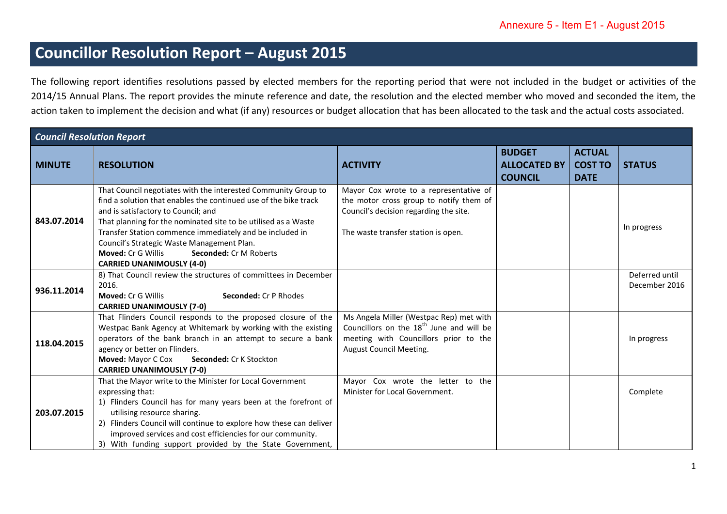## **Councillor Resolution Report – August 2015**

The following report identifies resolutions passed by elected members for the reporting period that were not included in the budget or activities of the 2014/15 Annual Plans. The report provides the minute reference and date, the resolution and the elected member who moved and seconded the item, the action taken to implement the decision and what (if any) resources or budget allocation that has been allocated to the task and the actual costs associated.

| <b>Council Resolution Report</b> |                                                                                                                                                                                                                                                                                                                                                                                                                                           |                                                                                                                                                                     |                                                        |                                                |                                 |
|----------------------------------|-------------------------------------------------------------------------------------------------------------------------------------------------------------------------------------------------------------------------------------------------------------------------------------------------------------------------------------------------------------------------------------------------------------------------------------------|---------------------------------------------------------------------------------------------------------------------------------------------------------------------|--------------------------------------------------------|------------------------------------------------|---------------------------------|
| <b>MINUTE</b>                    | <b>RESOLUTION</b>                                                                                                                                                                                                                                                                                                                                                                                                                         | <b>ACTIVITY</b>                                                                                                                                                     | <b>BUDGET</b><br><b>ALLOCATED BY</b><br><b>COUNCIL</b> | <b>ACTUAL</b><br><b>COST TO</b><br><b>DATE</b> | <b>STATUS</b>                   |
| 843.07.2014                      | That Council negotiates with the interested Community Group to<br>find a solution that enables the continued use of the bike track<br>and is satisfactory to Council; and<br>That planning for the nominated site to be utilised as a Waste<br>Transfer Station commence immediately and be included in<br>Council's Strategic Waste Management Plan.<br>Moved: Cr G Willis<br>Seconded: Cr M Roberts<br><b>CARRIED UNANIMOUSLY (4-0)</b> | Mayor Cox wrote to a representative of<br>the motor cross group to notify them of<br>Council's decision regarding the site.<br>The waste transfer station is open.  |                                                        |                                                | In progress                     |
| 936.11.2014                      | 8) That Council review the structures of committees in December<br>2016.<br><b>Moved: Cr G Willis</b><br><b>Seconded: Cr P Rhodes</b><br><b>CARRIED UNANIMOUSLY (7-0)</b>                                                                                                                                                                                                                                                                 |                                                                                                                                                                     |                                                        |                                                | Deferred until<br>December 2016 |
| 118.04.2015                      | That Flinders Council responds to the proposed closure of the<br>Westpac Bank Agency at Whitemark by working with the existing<br>operators of the bank branch in an attempt to secure a bank<br>agency or better on Flinders.<br><b>Moved: Mayor C Cox</b><br>Seconded: Cr K Stockton<br><b>CARRIED UNANIMOUSLY (7-0)</b>                                                                                                                | Ms Angela Miller (Westpac Rep) met with<br>Councillors on the 18 <sup>th</sup> June and will be<br>meeting with Councillors prior to the<br>August Council Meeting. |                                                        |                                                | In progress                     |
| 203.07.2015                      | That the Mayor write to the Minister for Local Government<br>expressing that:<br>1) Flinders Council has for many years been at the forefront of<br>utilising resource sharing.<br>2) Flinders Council will continue to explore how these can deliver<br>improved services and cost efficiencies for our community.<br>3) With funding support provided by the State Government,                                                          | Mayor Cox wrote the letter to the<br>Minister for Local Government.                                                                                                 |                                                        |                                                | Complete                        |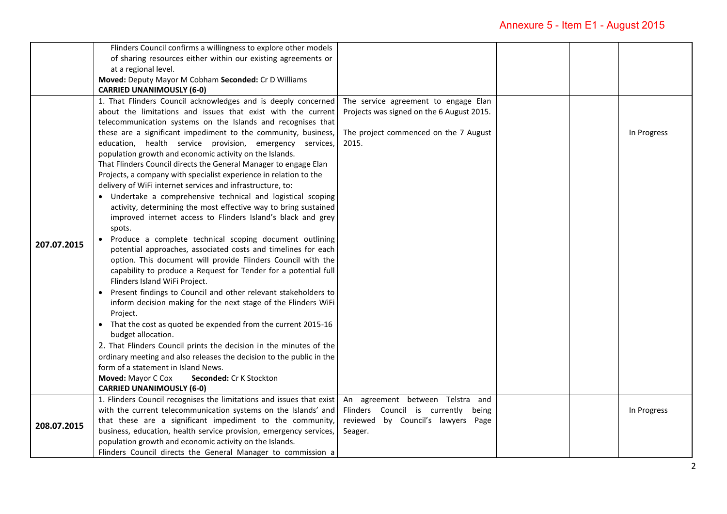|             | Flinders Council confirms a willingness to explore other models<br>of sharing resources either within our existing agreements or<br>at a regional level.<br>Moved: Deputy Mayor M Cobham Seconded: Cr D Williams                                                                                                                                                                                                                                                                                                                                                                                                                                                                                                                                                                                                                                                                                                                                                                                                                                                                                                                                                                                                                                                                                                                                                                                                                                             |                                                                                                                                     |  |             |
|-------------|--------------------------------------------------------------------------------------------------------------------------------------------------------------------------------------------------------------------------------------------------------------------------------------------------------------------------------------------------------------------------------------------------------------------------------------------------------------------------------------------------------------------------------------------------------------------------------------------------------------------------------------------------------------------------------------------------------------------------------------------------------------------------------------------------------------------------------------------------------------------------------------------------------------------------------------------------------------------------------------------------------------------------------------------------------------------------------------------------------------------------------------------------------------------------------------------------------------------------------------------------------------------------------------------------------------------------------------------------------------------------------------------------------------------------------------------------------------|-------------------------------------------------------------------------------------------------------------------------------------|--|-------------|
|             |                                                                                                                                                                                                                                                                                                                                                                                                                                                                                                                                                                                                                                                                                                                                                                                                                                                                                                                                                                                                                                                                                                                                                                                                                                                                                                                                                                                                                                                              |                                                                                                                                     |  |             |
| 207.07.2015 | <b>CARRIED UNANIMOUSLY (6-0)</b><br>1. That Flinders Council acknowledges and is deeply concerned<br>about the limitations and issues that exist with the current<br>telecommunication systems on the Islands and recognises that<br>these are a significant impediment to the community, business,<br>education, health service provision, emergency services,<br>population growth and economic activity on the Islands.<br>That Flinders Council directs the General Manager to engage Elan<br>Projects, a company with specialist experience in relation to the<br>delivery of WiFi internet services and infrastructure, to:<br>• Undertake a comprehensive technical and logistical scoping<br>activity, determining the most effective way to bring sustained<br>improved internet access to Flinders Island's black and grey<br>spots.<br>Produce a complete technical scoping document outlining<br>potential approaches, associated costs and timelines for each<br>option. This document will provide Flinders Council with the<br>capability to produce a Request for Tender for a potential full<br>Flinders Island WiFi Project.<br>Present findings to Council and other relevant stakeholders to<br>inform decision making for the next stage of the Flinders WiFi<br>Project.<br>• That the cost as quoted be expended from the current 2015-16<br>budget allocation.<br>2. That Flinders Council prints the decision in the minutes of the | The service agreement to engage Elan<br>Projects was signed on the 6 August 2015.<br>The project commenced on the 7 August<br>2015. |  | In Progress |
|             | ordinary meeting and also releases the decision to the public in the<br>form of a statement in Island News.<br>Moved: Mayor C Cox<br>Seconded: Cr K Stockton<br><b>CARRIED UNANIMOUSLY (6-0)</b>                                                                                                                                                                                                                                                                                                                                                                                                                                                                                                                                                                                                                                                                                                                                                                                                                                                                                                                                                                                                                                                                                                                                                                                                                                                             |                                                                                                                                     |  |             |
| 208.07.2015 | 1. Flinders Council recognises the limitations and issues that exist<br>with the current telecommunication systems on the Islands' and<br>that these are a significant impediment to the community,<br>business, education, health service provision, emergency services,<br>population growth and economic activity on the Islands.<br>Flinders Council directs the General Manager to commission a                                                                                                                                                                                                                                                                                                                                                                                                                                                                                                                                                                                                                                                                                                                                                                                                                                                                                                                                                                                                                                                         | An agreement between Telstra and<br>Flinders Council is currently<br>being<br>reviewed by Council's lawyers Page<br>Seager.         |  | In Progress |